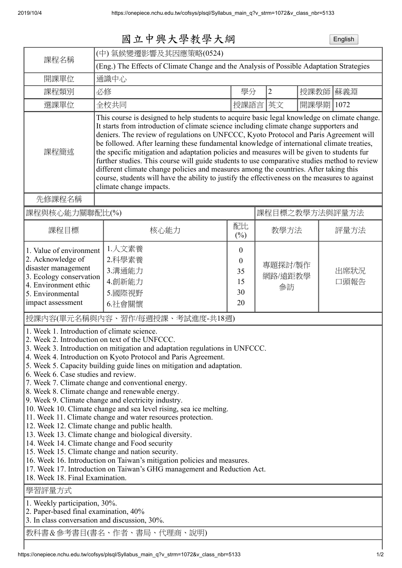| 國立中興大學教學大綱 | English |
|------------|---------|
|------------|---------|

| (中)氣候變遷影響及其因應策略(0524)                                                                                                                                                                                                                                                                                                                                                                                                                                                                                                                                                                                                                                                                                                                                                                                                                            |                                                              |                                                                                                                                                                                                                                                                  |                                                                                                                                                                      |          |                                            |  |
|--------------------------------------------------------------------------------------------------------------------------------------------------------------------------------------------------------------------------------------------------------------------------------------------------------------------------------------------------------------------------------------------------------------------------------------------------------------------------------------------------------------------------------------------------------------------------------------------------------------------------------------------------------------------------------------------------------------------------------------------------------------------------------------------------------------------------------------------------|--------------------------------------------------------------|------------------------------------------------------------------------------------------------------------------------------------------------------------------------------------------------------------------------------------------------------------------|----------------------------------------------------------------------------------------------------------------------------------------------------------------------|----------|--------------------------------------------|--|
| (Eng.) The Effects of Climate Change and the Analysis of Possible Adaptation Strategies                                                                                                                                                                                                                                                                                                                                                                                                                                                                                                                                                                                                                                                                                                                                                          |                                                              |                                                                                                                                                                                                                                                                  |                                                                                                                                                                      |          |                                            |  |
| 開課單位<br>通識中心                                                                                                                                                                                                                                                                                                                                                                                                                                                                                                                                                                                                                                                                                                                                                                                                                                     |                                                              |                                                                                                                                                                                                                                                                  |                                                                                                                                                                      |          |                                            |  |
| 必修                                                                                                                                                                                                                                                                                                                                                                                                                                                                                                                                                                                                                                                                                                                                                                                                                                               |                                                              | $\overline{2}$                                                                                                                                                                                                                                                   |                                                                                                                                                                      |          | 蘇義淵                                        |  |
| 全校共同                                                                                                                                                                                                                                                                                                                                                                                                                                                                                                                                                                                                                                                                                                                                                                                                                                             |                                                              |                                                                                                                                                                                                                                                                  |                                                                                                                                                                      |          | 1072                                       |  |
| This course is designed to help students to acquire basic legal knowledge on climate change.<br>It starts from introduction of climate science including climate change supporters and<br>deniers. The review of regulations on UNFCCC, Kyoto Protocol and Paris Agreement will<br>be followed. After learning these fundamental knowledge of international climate treaties,<br>課程簡述<br>the specific mitigation and adaptation policies and measures will be given to students fur<br>further studies. This course will guide students to use comparative studies method to review<br>different climate change policies and measures among the countries. After taking this<br>course, students will have the ability to justify the effectiveness on the measures to against<br>climate change impacts.<br>先修課程名稱                              |                                                              |                                                                                                                                                                                                                                                                  |                                                                                                                                                                      |          |                                            |  |
|                                                                                                                                                                                                                                                                                                                                                                                                                                                                                                                                                                                                                                                                                                                                                                                                                                                  |                                                              |                                                                                                                                                                                                                                                                  |                                                                                                                                                                      |          |                                            |  |
|                                                                                                                                                                                                                                                                                                                                                                                                                                                                                                                                                                                                                                                                                                                                                                                                                                                  |                                                              | 課程目標之教學方法與評量方法                                                                                                                                                                                                                                                   |                                                                                                                                                                      |          |                                            |  |
| 核心能力                                                                                                                                                                                                                                                                                                                                                                                                                                                                                                                                                                                                                                                                                                                                                                                                                                             | $(\%)$                                                       |                                                                                                                                                                                                                                                                  |                                                                                                                                                                      |          | 評量方法                                       |  |
| 1.人文素養<br>1. Value of environment<br>2.科學素養<br>3.溝通能力<br>3. Ecology conservation<br>4.創新能力<br>5.國際視野<br>6.社會關懷                                                                                                                                                                                                                                                                                                                                                                                                                                                                                                                                                                                                                                                                                                                                   | $\boldsymbol{0}$<br>$\boldsymbol{0}$<br>35<br>15<br>30<br>20 |                                                                                                                                                                                                                                                                  |                                                                                                                                                                      |          | 出席狀況<br>口頭報告                               |  |
| 1. Week 1. Introduction of climate science.<br>2. Week 2. Introduction on text of the UNFCCC.<br>4. Week 4. Introduction on Kyoto Protocol and Paris Agreement.<br>6. Week 6. Case studies and review.<br>7. Week 7. Climate change and conventional energy.<br>8. Week 8. Climate change and renewable energy.<br>9. Week 9. Climate change and electricity industry.<br>11. Week 11. Climate change and water resources protection.<br>12. Week 12. Climate change and public health.<br>13. Week 13. Climate change and biological diversity.<br>14. Week 14. Climate change and Food security<br>15. Week 15. Climate change and nation security.<br>18. Week 18. Final Examination.<br>1. Weekly participation, 30%.<br>2. Paper-based final examination, 40%<br>3. In class conversation and discussion, 30%.<br>教科書&參考書目(書名、作者、書局、代理商、說明) |                                                              |                                                                                                                                                                                                                                                                  |                                                                                                                                                                      |          |                                            |  |
|                                                                                                                                                                                                                                                                                                                                                                                                                                                                                                                                                                                                                                                                                                                                                                                                                                                  | 課程與核心能力關聯配比(%)                                               | 配比<br>授課內容(單元名稱與內容、習作/每週授課、考試進度-共18週)<br>5. Week 5. Capacity building guide lines on mitigation and adaptation.<br>10. Week 10. Climate change and sea level rising, sea ice melting.<br>16. Week 16. Introduction on Taiwan's mitigation policies and measures. | 學分<br>授課語言<br>3. Week 3. Introduction on mitigation and adaptation regulations in UNFCCC.<br>17. Week 17. Introduction on Taiwan's GHG management and Reduction Act. | 英文<br>參訪 | 授課教師<br>開課學期<br>教學方法<br>專題探討/製作<br>網路/遠距教學 |  |